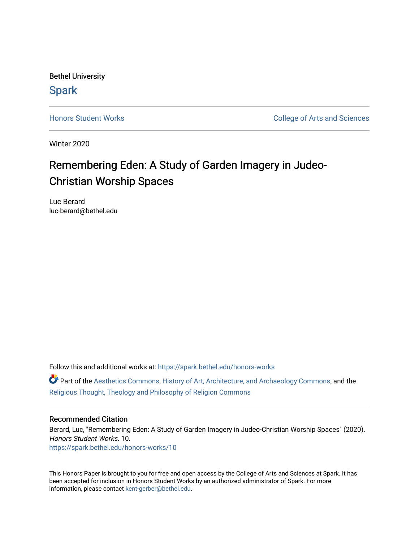Bethel University **Spark** 

[Honors Student Works](https://spark.bethel.edu/honors-works) **College of Arts and Sciences** 

Winter 2020

# Remembering Eden: A Study of Garden Imagery in Judeo-Christian Worship Spaces

Luc Berard luc-berard@bethel.edu

Follow this and additional works at: [https://spark.bethel.edu/honors-works](https://spark.bethel.edu/honors-works?utm_source=spark.bethel.edu%2Fhonors-works%2F10&utm_medium=PDF&utm_campaign=PDFCoverPages) 

**C** Part of the [Aesthetics Commons,](http://network.bepress.com/hgg/discipline/528?utm_source=spark.bethel.edu%2Fhonors-works%2F10&utm_medium=PDF&utm_campaign=PDFCoverPages) [History of Art, Architecture, and Archaeology Commons,](http://network.bepress.com/hgg/discipline/510?utm_source=spark.bethel.edu%2Fhonors-works%2F10&utm_medium=PDF&utm_campaign=PDFCoverPages) and the [Religious Thought, Theology and Philosophy of Religion Commons](http://network.bepress.com/hgg/discipline/544?utm_source=spark.bethel.edu%2Fhonors-works%2F10&utm_medium=PDF&utm_campaign=PDFCoverPages) 

# Recommended Citation

Berard, Luc, "Remembering Eden: A Study of Garden Imagery in Judeo-Christian Worship Spaces" (2020). Honors Student Works. 10. [https://spark.bethel.edu/honors-works/10](https://spark.bethel.edu/honors-works/10?utm_source=spark.bethel.edu%2Fhonors-works%2F10&utm_medium=PDF&utm_campaign=PDFCoverPages)

This Honors Paper is brought to you for free and open access by the College of Arts and Sciences at Spark. It has been accepted for inclusion in Honors Student Works by an authorized administrator of Spark. For more information, please contact [kent-gerber@bethel.edu.](mailto:kent-gerber@bethel.edu)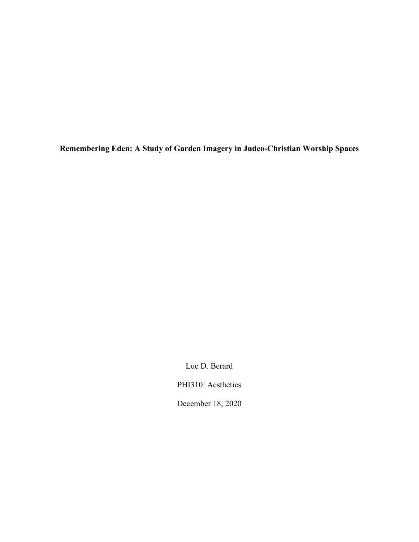**Remembering Eden: A Study of Garden Imagery in Judeo-Christian Worship Spaces**

Luc D. Berard

PHI310: Aesthetics

December 18, 2020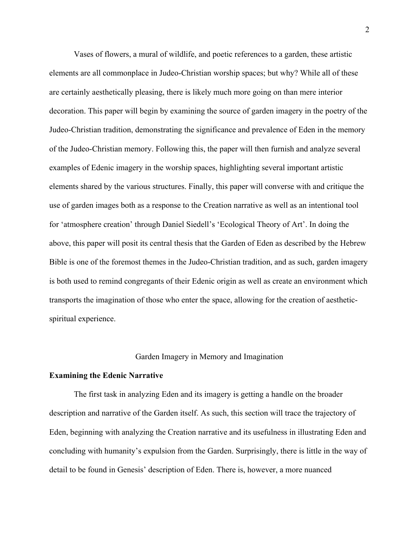Vases of flowers, a mural of wildlife, and poetic references to a garden, these artistic elements are all commonplace in Judeo-Christian worship spaces; but why? While all of these are certainly aesthetically pleasing, there is likely much more going on than mere interior decoration. This paper will begin by examining the source of garden imagery in the poetry of the Judeo-Christian tradition, demonstrating the significance and prevalence of Eden in the memory of the Judeo-Christian memory. Following this, the paper will then furnish and analyze several examples of Edenic imagery in the worship spaces, highlighting several important artistic elements shared by the various structures. Finally, this paper will converse with and critique the use of garden images both as a response to the Creation narrative as well as an intentional tool for 'atmosphere creation' through Daniel Siedell's 'Ecological Theory of Art'. In doing the above, this paper will posit its central thesis that the Garden of Eden as described by the Hebrew Bible is one of the foremost themes in the Judeo-Christian tradition, and as such, garden imagery is both used to remind congregants of their Edenic origin as well as create an environment which transports the imagination of those who enter the space, allowing for the creation of aestheticspiritual experience.

## Garden Imagery in Memory and Imagination

#### **Examining the Edenic Narrative**

The first task in analyzing Eden and its imagery is getting a handle on the broader description and narrative of the Garden itself. As such, this section will trace the trajectory of Eden, beginning with analyzing the Creation narrative and its usefulness in illustrating Eden and concluding with humanity's expulsion from the Garden. Surprisingly, there is little in the way of detail to be found in Genesis' description of Eden. There is, however, a more nuanced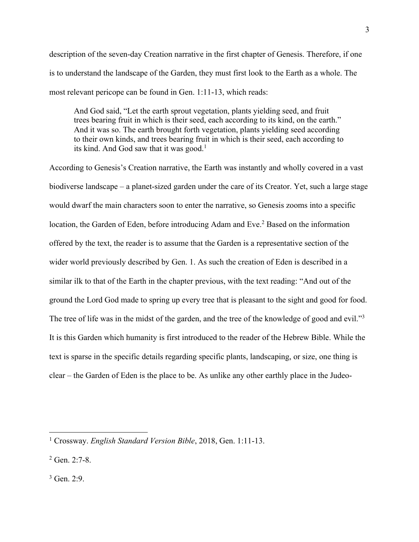description of the seven-day Creation narrative in the first chapter of Genesis. Therefore, if one is to understand the landscape of the Garden, they must first look to the Earth as a whole. The most relevant pericope can be found in Gen. 1:11-13, which reads:

And God said, "Let the earth sprout vegetation, plants yielding seed, and fruit trees bearing fruit in which is their seed, each according to its kind, on the earth." And it was so. The earth brought forth vegetation, plants yielding seed according to their own kinds, and trees bearing fruit in which is their seed, each according to its kind. And God saw that it was good.<sup>1</sup>

According to Genesis's Creation narrative, the Earth was instantly and wholly covered in a vast biodiverse landscape – a planet-sized garden under the care of its Creator. Yet, such a large stage would dwarf the main characters soon to enter the narrative, so Genesis zooms into a specific location, the Garden of Eden, before introducing Adam and Eve.<sup>2</sup> Based on the information offered by the text, the reader is to assume that the Garden is a representative section of the wider world previously described by Gen. 1. As such the creation of Eden is described in a similar ilk to that of the Earth in the chapter previous, with the text reading: "And out of the ground the Lord God made to spring up every tree that is pleasant to the sight and good for food. The tree of life was in the midst of the garden, and the tree of the knowledge of good and evil."<sup>3</sup> It is this Garden which humanity is first introduced to the reader of the Hebrew Bible. While the text is sparse in the specific details regarding specific plants, landscaping, or size, one thing is clear – the Garden of Eden is the place to be. As unlike any other earthly place in the Judeo-

<sup>1</sup> Crossway. *English Standard Version Bible*, 2018, Gen. 1:11-13.

 $2$  Gen. 2:7-8.

<sup>3</sup> Gen. 2:9.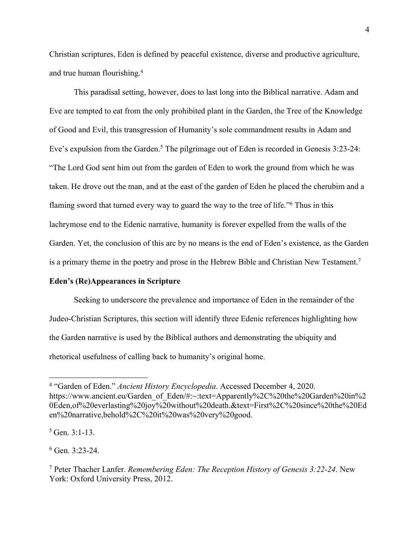Christian scriptures, Eden is defined by peaceful existence, diverse and productive agriculture, and true human flourishing.4

This paradisal setting, however, does to last long into the Biblical narrative. Adam and Eve are tempted to eat from the only prohibited plant in the Garden, the Tree of the Knowledge of Good and Evil, this transgression of Humanity's sole commandment results in Adam and Eve's expulsion from the Garden.<sup>5</sup> The pilgrimage out of Eden is recorded in Genesis 3:23-24: "The Lord God sent him out from the garden of Eden to work the ground from which he was taken. He drove out the man, and at the east of the garden of Eden he placed the cherubim and a flaming sword that turned every way to guard the way to the tree of life."6 Thus in this lachrymose end to the Edenic narrative, humanity is forever expelled from the walls of the Garden. Yet, the conclusion of this arc by no means is the end of Eden's existence, as the Garden is a primary theme in the poetry and prose in the Hebrew Bible and Christian New Testament.<sup>7</sup>

# **Eden's (Re)Appearances in Scripture**

Seeking to underscore the prevalence and importance of Eden in the remainder of the Judeo-Christian Scriptures, this section will identify three Edenic references highlighting how the Garden narrative is used by the Biblical authors and demonstrating the ubiquity and rhetorical usefulness of calling back to humanity's original home.

<sup>4</sup> "Garden of Eden." *Ancient History Encyclopedia*. Accessed December 4, 2020. https://www.ancient.eu/Garden\_of\_Eden/#:~:text=Apparently%2C%20the%20Garden%20in%2 0Eden,of%20everlasting%20joy%20without%20death.&text=First%2C%20since%20the%20Ed en%20narrative,behold%2C%20it%20was%20very%20good.

 $5$  Gen. 3:1-13.

 $6$  Gen. 3:23-24.

<sup>7</sup> Peter Thacher Lanfer. *Remembering Eden: The Reception History of Genesis 3:22-24*. New York: Oxford University Press, 2012.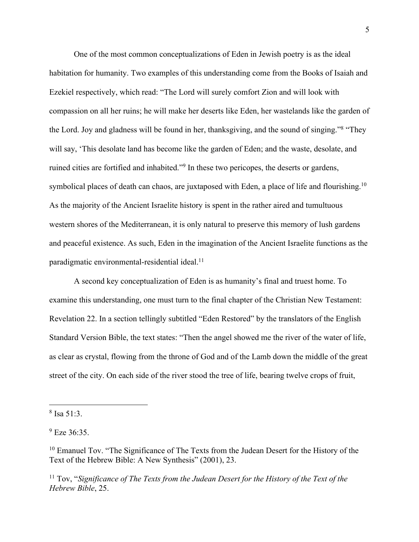One of the most common conceptualizations of Eden in Jewish poetry is as the ideal habitation for humanity. Two examples of this understanding come from the Books of Isaiah and Ezekiel respectively, which read: "The Lord will surely comfort Zion and will look with compassion on all her ruins; he will make her deserts like Eden, her wastelands like the garden of the Lord. Joy and gladness will be found in her, thanksgiving, and the sound of singing."8 "They will say, 'This desolate land has become like the garden of Eden; and the waste, desolate, and ruined cities are fortified and inhabited."9 In these two pericopes, the deserts or gardens, symbolical places of death can chaos, are juxtaposed with Eden, a place of life and flourishing.<sup>10</sup> As the majority of the Ancient Israelite history is spent in the rather aired and tumultuous western shores of the Mediterranean, it is only natural to preserve this memory of lush gardens and peaceful existence. As such, Eden in the imagination of the Ancient Israelite functions as the paradigmatic environmental-residential ideal. 11

A second key conceptualization of Eden is as humanity's final and truest home. To examine this understanding, one must turn to the final chapter of the Christian New Testament: Revelation 22. In a section tellingly subtitled "Eden Restored" by the translators of the English Standard Version Bible, the text states: "Then the angel showed me the river of the water of life, as clear as crystal, flowing from the throne of God and of the Lamb down the middle of the great street of the city. On each side of the river stood the tree of life, bearing twelve crops of fruit,

<sup>11</sup> Tov, "Significance of The Texts from the Judean Desert for the History of the Text of the *Hebrew Bible*, 25.

<sup>8</sup> Isa 51:3.

 $^{9}$  Eze 36:35.

<sup>&</sup>lt;sup>10</sup> Emanuel Tov. "The Significance of The Texts from the Judean Desert for the History of the Text of the Hebrew Bible: A New Synthesis" (2001), 23.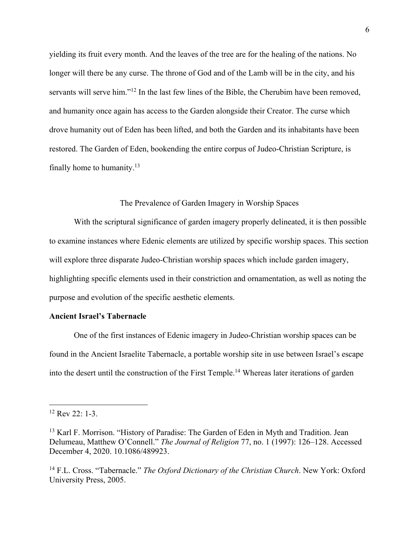yielding its fruit every month. And the leaves of the tree are for the healing of the nations. No longer will there be any curse. The throne of God and of the Lamb will be in the city, and his servants will serve him."<sup>12</sup> In the last few lines of the Bible, the Cherubim have been removed, and humanity once again has access to the Garden alongside their Creator. The curse which drove humanity out of Eden has been lifted, and both the Garden and its inhabitants have been restored. The Garden of Eden, bookending the entire corpus of Judeo-Christian Scripture, is finally home to humanity.13

# The Prevalence of Garden Imagery in Worship Spaces

With the scriptural significance of garden imagery properly delineated, it is then possible to examine instances where Edenic elements are utilized by specific worship spaces. This section will explore three disparate Judeo-Christian worship spaces which include garden imagery, highlighting specific elements used in their constriction and ornamentation, as well as noting the purpose and evolution of the specific aesthetic elements.

# **Ancient Israel's Tabernacle**

One of the first instances of Edenic imagery in Judeo-Christian worship spaces can be found in the Ancient Israelite Tabernacle, a portable worship site in use between Israel's escape into the desert until the construction of the First Temple.14 Whereas later iterations of garden

<sup>12</sup> Rev 22: 1-3.

<sup>&</sup>lt;sup>13</sup> Karl F. Morrison. "History of Paradise: The Garden of Eden in Myth and Tradition. Jean Delumeau, Matthew O'Connell." *The Journal of Religion* 77, no. 1 (1997): 126–128. Accessed December 4, 2020. 10.1086/489923.

<sup>14</sup> F.L. Cross. "Tabernacle." *The Oxford Dictionary of the Christian Church*. New York: Oxford University Press, 2005.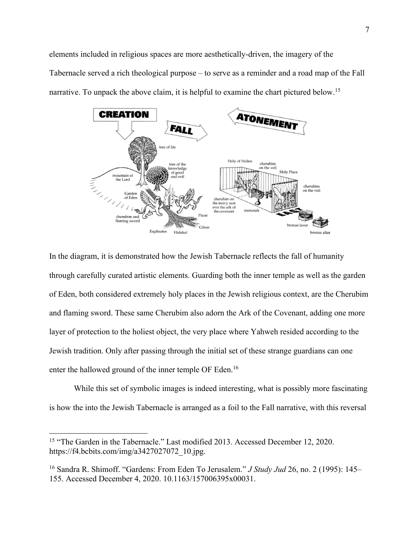elements included in religious spaces are more aesthetically-driven, the imagery of the Tabernacle served a rich theological purpose – to serve as a reminder and a road map of the Fall narrative. To unpack the above claim, it is helpful to examine the chart pictured below.<sup>15</sup>



In the diagram, it is demonstrated how the Jewish Tabernacle reflects the fall of humanity through carefully curated artistic elements. Guarding both the inner temple as well as the garden of Eden, both considered extremely holy places in the Jewish religious context, are the Cherubim and flaming sword. These same Cherubim also adorn the Ark of the Covenant, adding one more layer of protection to the holiest object, the very place where Yahweh resided according to the Jewish tradition. Only after passing through the initial set of these strange guardians can one enter the hallowed ground of the inner temple OF Eden.<sup>16</sup>

While this set of symbolic images is indeed interesting, what is possibly more fascinating is how the into the Jewish Tabernacle is arranged as a foil to the Fall narrative, with this reversal

<sup>&</sup>lt;sup>15</sup> "The Garden in the Tabernacle." Last modified 2013. Accessed December 12, 2020. https://f4.bcbits.com/img/a3427027072\_10.jpg.

<sup>16</sup> Sandra R. Shimoff. "Gardens: From Eden To Jerusalem." *J Study Jud* 26, no. 2 (1995): 145– 155. Accessed December 4, 2020. 10.1163/157006395x00031.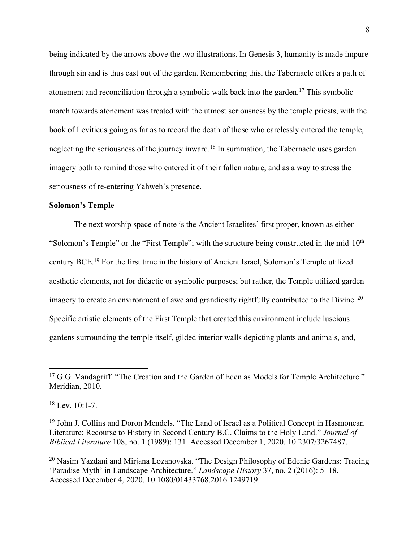being indicated by the arrows above the two illustrations. In Genesis 3, humanity is made impure through sin and is thus cast out of the garden. Remembering this, the Tabernacle offers a path of atonement and reconciliation through a symbolic walk back into the garden.17 This symbolic march towards atonement was treated with the utmost seriousness by the temple priests, with the book of Leviticus going as far as to record the death of those who carelessly entered the temple, neglecting the seriousness of the journey inward.<sup>18</sup> In summation, the Tabernacle uses garden imagery both to remind those who entered it of their fallen nature, and as a way to stress the seriousness of re-entering Yahweh's presence.

# **Solomon's Temple**

The next worship space of note is the Ancient Israelites' first proper, known as either "Solomon's Temple" or the "First Temple"; with the structure being constructed in the mid-10<sup>th</sup> century BCE.19 For the first time in the history of Ancient Israel, Solomon's Temple utilized aesthetic elements, not for didactic or symbolic purposes; but rather, the Temple utilized garden imagery to create an environment of awe and grandiosity rightfully contributed to the Divine.<sup>20</sup> Specific artistic elements of the First Temple that created this environment include luscious gardens surrounding the temple itself, gilded interior walls depicting plants and animals, and,

<sup>&</sup>lt;sup>17</sup> G.G. Vandagriff. "The Creation and the Garden of Eden as Models for Temple Architecture." Meridian, 2010.

 $18$  Lev. 10:1-7.

<sup>&</sup>lt;sup>19</sup> John J. Collins and Doron Mendels. "The Land of Israel as a Political Concept in Hasmonean Literature: Recourse to History in Second Century B.C. Claims to the Holy Land." *Journal of Biblical Literature* 108, no. 1 (1989): 131. Accessed December 1, 2020. 10.2307/3267487.

<sup>&</sup>lt;sup>20</sup> Nasim Yazdani and Mirjana Lozanovska. "The Design Philosophy of Edenic Gardens: Tracing 'Paradise Myth' in Landscape Architecture." *Landscape History* 37, no. 2 (2016): 5–18. Accessed December 4, 2020. 10.1080/01433768.2016.1249719.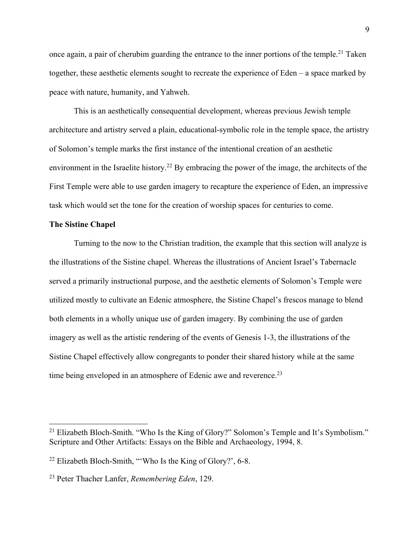once again, a pair of cherubim guarding the entrance to the inner portions of the temple.<sup>21</sup> Taken together, these aesthetic elements sought to recreate the experience of Eden – a space marked by peace with nature, humanity, and Yahweh.

This is an aesthetically consequential development, whereas previous Jewish temple architecture and artistry served a plain, educational-symbolic role in the temple space, the artistry of Solomon's temple marks the first instance of the intentional creation of an aesthetic environment in the Israelite history.<sup>22</sup> By embracing the power of the image, the architects of the First Temple were able to use garden imagery to recapture the experience of Eden, an impressive task which would set the tone for the creation of worship spaces for centuries to come.

# **The Sistine Chapel**

Turning to the now to the Christian tradition, the example that this section will analyze is the illustrations of the Sistine chapel. Whereas the illustrations of Ancient Israel's Tabernacle served a primarily instructional purpose, and the aesthetic elements of Solomon's Temple were utilized mostly to cultivate an Edenic atmosphere, the Sistine Chapel's frescos manage to blend both elements in a wholly unique use of garden imagery. By combining the use of garden imagery as well as the artistic rendering of the events of Genesis 1-3, the illustrations of the Sistine Chapel effectively allow congregants to ponder their shared history while at the same time being enveloped in an atmosphere of Edenic awe and reverence.<sup>23</sup>

<sup>&</sup>lt;sup>21</sup> Elizabeth Bloch-Smith. "Who Is the King of Glory?" Solomon's Temple and It's Symbolism." Scripture and Other Artifacts: Essays on the Bible and Archaeology, 1994, 8.

<sup>22</sup> Elizabeth Bloch-Smith, "'Who Is the King of Glory?', 6-8.

<sup>23</sup> Peter Thacher Lanfer, *Remembering Eden*, 129.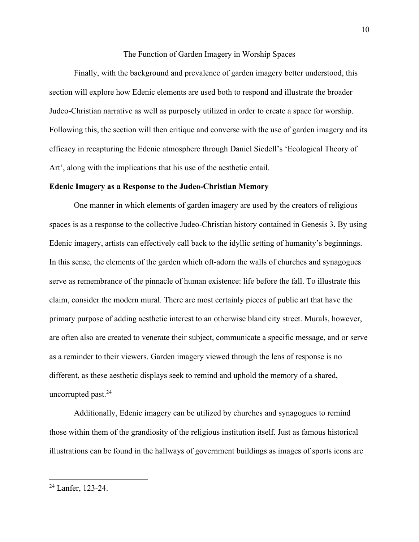#### The Function of Garden Imagery in Worship Spaces

Finally, with the background and prevalence of garden imagery better understood, this section will explore how Edenic elements are used both to respond and illustrate the broader Judeo-Christian narrative as well as purposely utilized in order to create a space for worship. Following this, the section will then critique and converse with the use of garden imagery and its efficacy in recapturing the Edenic atmosphere through Daniel Siedell's 'Ecological Theory of Art', along with the implications that his use of the aesthetic entail.

## **Edenic Imagery as a Response to the Judeo-Christian Memory**

One manner in which elements of garden imagery are used by the creators of religious spaces is as a response to the collective Judeo-Christian history contained in Genesis 3. By using Edenic imagery, artists can effectively call back to the idyllic setting of humanity's beginnings. In this sense, the elements of the garden which oft-adorn the walls of churches and synagogues serve as remembrance of the pinnacle of human existence: life before the fall. To illustrate this claim, consider the modern mural. There are most certainly pieces of public art that have the primary purpose of adding aesthetic interest to an otherwise bland city street. Murals, however, are often also are created to venerate their subject, communicate a specific message, and or serve as a reminder to their viewers. Garden imagery viewed through the lens of response is no different, as these aesthetic displays seek to remind and uphold the memory of a shared, uncorrupted past.24

Additionally, Edenic imagery can be utilized by churches and synagogues to remind those within them of the grandiosity of the religious institution itself. Just as famous historical illustrations can be found in the hallways of government buildings as images of sports icons are

<sup>24</sup> Lanfer, 123-24.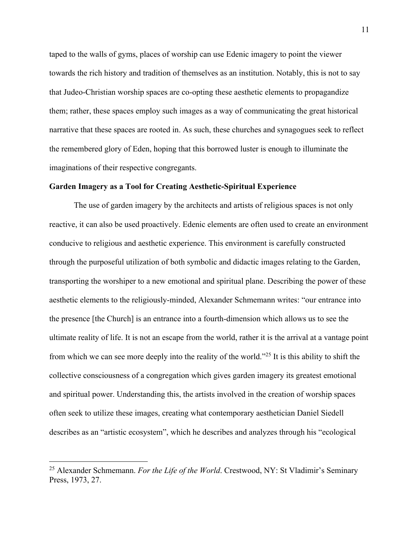taped to the walls of gyms, places of worship can use Edenic imagery to point the viewer towards the rich history and tradition of themselves as an institution. Notably, this is not to say that Judeo-Christian worship spaces are co-opting these aesthetic elements to propagandize them; rather, these spaces employ such images as a way of communicating the great historical narrative that these spaces are rooted in. As such, these churches and synagogues seek to reflect the remembered glory of Eden, hoping that this borrowed luster is enough to illuminate the imaginations of their respective congregants.

## **Garden Imagery as a Tool for Creating Aesthetic-Spiritual Experience**

The use of garden imagery by the architects and artists of religious spaces is not only reactive, it can also be used proactively. Edenic elements are often used to create an environment conducive to religious and aesthetic experience. This environment is carefully constructed through the purposeful utilization of both symbolic and didactic images relating to the Garden, transporting the worshiper to a new emotional and spiritual plane. Describing the power of these aesthetic elements to the religiously-minded, Alexander Schmemann writes: "our entrance into the presence [the Church] is an entrance into a fourth-dimension which allows us to see the ultimate reality of life. It is not an escape from the world, rather it is the arrival at a vantage point from which we can see more deeply into the reality of the world."25 It is this ability to shift the collective consciousness of a congregation which gives garden imagery its greatest emotional and spiritual power. Understanding this, the artists involved in the creation of worship spaces often seek to utilize these images, creating what contemporary aesthetician Daniel Siedell describes as an "artistic ecosystem", which he describes and analyzes through his "ecological

<sup>25</sup> Alexander Schmemann. *For the Life of the World*. Crestwood, NY: St Vladimir's Seminary Press, 1973, 27.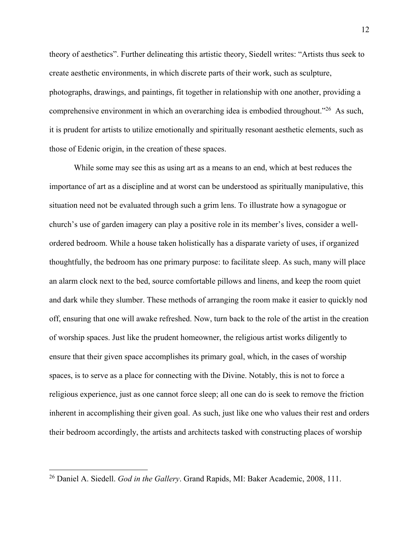theory of aesthetics". Further delineating this artistic theory, Siedell writes: "Artists thus seek to create aesthetic environments, in which discrete parts of their work, such as sculpture, photographs, drawings, and paintings, fit together in relationship with one another, providing a comprehensive environment in which an overarching idea is embodied throughout."26 As such, it is prudent for artists to utilize emotionally and spiritually resonant aesthetic elements, such as those of Edenic origin, in the creation of these spaces.

While some may see this as using art as a means to an end, which at best reduces the importance of art as a discipline and at worst can be understood as spiritually manipulative, this situation need not be evaluated through such a grim lens. To illustrate how a synagogue or church's use of garden imagery can play a positive role in its member's lives, consider a wellordered bedroom. While a house taken holistically has a disparate variety of uses, if organized thoughtfully, the bedroom has one primary purpose: to facilitate sleep. As such, many will place an alarm clock next to the bed, source comfortable pillows and linens, and keep the room quiet and dark while they slumber. These methods of arranging the room make it easier to quickly nod off, ensuring that one will awake refreshed. Now, turn back to the role of the artist in the creation of worship spaces. Just like the prudent homeowner, the religious artist works diligently to ensure that their given space accomplishes its primary goal, which, in the cases of worship spaces, is to serve as a place for connecting with the Divine. Notably, this is not to force a religious experience, just as one cannot force sleep; all one can do is seek to remove the friction inherent in accomplishing their given goal. As such, just like one who values their rest and orders their bedroom accordingly, the artists and architects tasked with constructing places of worship

<sup>26</sup> Daniel A. Siedell. *God in the Gallery*. Grand Rapids, MI: Baker Academic, 2008, 111.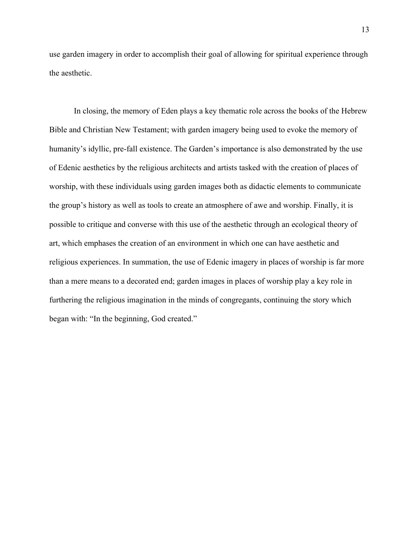use garden imagery in order to accomplish their goal of allowing for spiritual experience through the aesthetic.

In closing, the memory of Eden plays a key thematic role across the books of the Hebrew Bible and Christian New Testament; with garden imagery being used to evoke the memory of humanity's idyllic, pre-fall existence. The Garden's importance is also demonstrated by the use of Edenic aesthetics by the religious architects and artists tasked with the creation of places of worship, with these individuals using garden images both as didactic elements to communicate the group's history as well as tools to create an atmosphere of awe and worship. Finally, it is possible to critique and converse with this use of the aesthetic through an ecological theory of art, which emphases the creation of an environment in which one can have aesthetic and religious experiences. In summation, the use of Edenic imagery in places of worship is far more than a mere means to a decorated end; garden images in places of worship play a key role in furthering the religious imagination in the minds of congregants, continuing the story which began with: "In the beginning, God created."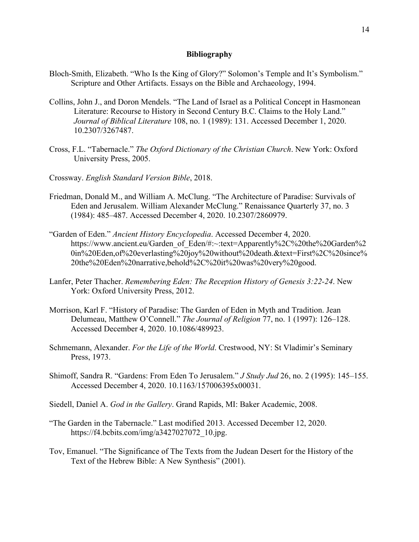## **Bibliography**

- Bloch-Smith, Elizabeth. "Who Is the King of Glory?" Solomon's Temple and It's Symbolism." Scripture and Other Artifacts. Essays on the Bible and Archaeology, 1994.
- Collins, John J., and Doron Mendels. "The Land of Israel as a Political Concept in Hasmonean Literature: Recourse to History in Second Century B.C. Claims to the Holy Land." *Journal of Biblical Literature* 108, no. 1 (1989): 131. Accessed December 1, 2020. 10.2307/3267487.
- Cross, F.L. "Tabernacle." *The Oxford Dictionary of the Christian Church*. New York: Oxford University Press, 2005.
- Crossway. *English Standard Version Bible*, 2018.
- Friedman, Donald M., and William A. McClung. "The Architecture of Paradise: Survivals of Eden and Jerusalem. William Alexander McClung." Renaissance Quarterly 37, no. 3 (1984): 485–487. Accessed December 4, 2020. 10.2307/2860979.
- "Garden of Eden." *Ancient History Encyclopedia*. Accessed December 4, 2020. https://www.ancient.eu/Garden\_of\_Eden/#:~:text=Apparently%2C%20the%20Garden%2 0in%20Eden,of%20everlasting%20joy%20without%20death.&text=First%2C%20since% 20the%20Eden%20narrative,behold%2C%20it%20was%20very%20good.
- Lanfer, Peter Thacher. *Remembering Eden: The Reception History of Genesis 3:22-24*. New York: Oxford University Press, 2012.
- Morrison, Karl F. "History of Paradise: The Garden of Eden in Myth and Tradition. Jean Delumeau, Matthew O'Connell." *The Journal of Religion* 77, no. 1 (1997): 126–128. Accessed December 4, 2020. 10.1086/489923.
- Schmemann, Alexander. *For the Life of the World*. Crestwood, NY: St Vladimir's Seminary Press, 1973.
- Shimoff, Sandra R. "Gardens: From Eden To Jerusalem." *J Study Jud* 26, no. 2 (1995): 145–155. Accessed December 4, 2020. 10.1163/157006395x00031.
- Siedell, Daniel A. *God in the Gallery*. Grand Rapids, MI: Baker Academic, 2008.
- "The Garden in the Tabernacle." Last modified 2013. Accessed December 12, 2020. https://f4.bcbits.com/img/a3427027072\_10.jpg.
- Tov, Emanuel. "The Significance of The Texts from the Judean Desert for the History of the Text of the Hebrew Bible: A New Synthesis" (2001).